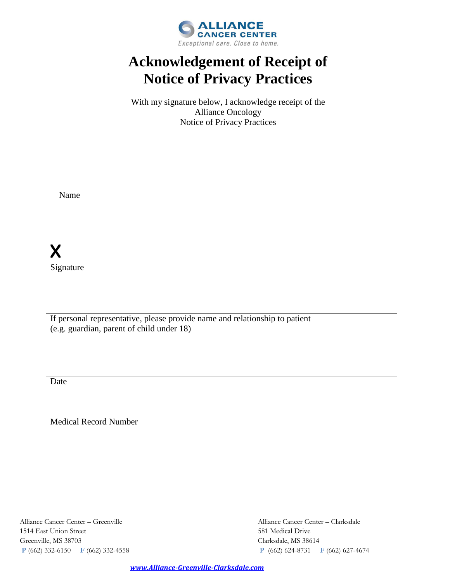

# **Acknowledgement of Receipt of Notice of Privacy Practices**

With my signature below, I acknowledge receipt of the Alliance Oncology Notice of Privacy Practices

Name

X

Signature

If personal representative, please provide name and relationship to patient (e.g. guardian, parent of child under 18)

Date

Medical Record Number

Alliance Cancer Center – Greenville Alliance Cancer Center – Clarksdale 1514 East Union Street 581 Medical Drive Greenville, MS 38703 Clarksdale, MS 38614

**P** (662) 332-6150 **F** (662) 332-4558 **P** (662) 624-8731 **F** (662) 627-4674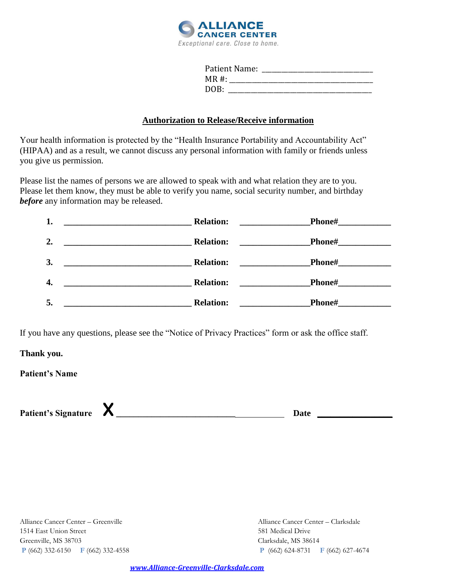

| Patient Name: |  |
|---------------|--|
| $MR#$ :       |  |
| DOB:          |  |

#### **Authorization to Release/Receive information**

Your health information is protected by the "Health Insurance Portability and Accountability Act" (HIPAA) and as a result, we cannot discuss any personal information with family or friends unless you give us permission.

Please list the names of persons we are allowed to speak with and what relation they are to you. Please let them know, they must be able to verify you name, social security number, and birthday *before* any information may be released.

| 1. | <b>Relation:</b><br><u> 1989 - Johann Barn, mars ann an t-Amhain Aonaich an t-Aonaich an t-Aonaich ann an t-Aonaich ann an t-Aonaich</u> | Phone#__                                                                                                                                                                                                                                              |
|----|------------------------------------------------------------------------------------------------------------------------------------------|-------------------------------------------------------------------------------------------------------------------------------------------------------------------------------------------------------------------------------------------------------|
| 2. | <b>Relation:</b>                                                                                                                         | <b>Phone#</b><br><u>and the state of the state of the state of the state of the state of the state of the state of the state of the state of the state of the state of the state of the state of the state of the state of the state of the state</u> |
| 3. | <b>Relation:</b><br><u> 1980 - Andrea Andrew Maria (h. 1980).</u>                                                                        | <b>Phone#</b>                                                                                                                                                                                                                                         |
| 4. | <b>Relation:</b>                                                                                                                         | <b>Phone#</b><br><u> 1989 - Jan Store Barnett, s</u>                                                                                                                                                                                                  |
| 5. | <b>Relation:</b><br><u> 1989 - Johann Stoff, amerikansk politiker (</u> † 1908)                                                          | <b>Phone#</b><br><u> 1980 - Johann Barbara, martxa a</u><br>and the control of the control of                                                                                                                                                         |

If you have any questions, please see the "Notice of Privacy Practices" form or ask the office staff.

**Thank you.**

**Patient's Name** 

**Patient's Signature** X**\_\_\_\_\_\_\_\_\_\_\_\_\_\_\_\_\_\_\_\_\_\_\_\_\_\_\_ Date \_\_\_\_\_\_\_\_\_\_\_\_\_\_\_\_\_**

1514 East Union Street 581 Medical Drive Greenville, MS 38703 Clarksdale, MS 38614

Alliance Cancer Center – Greenville Alliance Cancer Center – Clarksdale **P** (662) 332-6150 **F** (662) 332-4558 **P** (662) 624-8731 **F** (662) 627-4674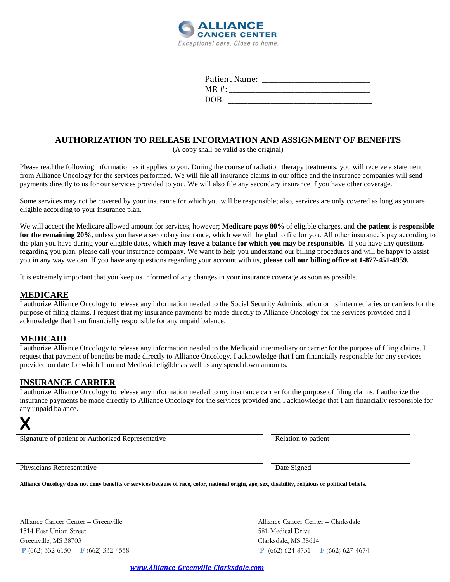

| Patient Name: |  |
|---------------|--|
| $MR#$ :       |  |
| DOB:          |  |

### **AUTHORIZATION TO RELEASE INFORMATION AND ASSIGNMENT OF BENEFITS**

(A copy shall be valid as the original)

Please read the following information as it applies to you. During the course of radiation therapy treatments, you will receive a statement from Alliance Oncology for the services performed. We will file all insurance claims in our office and the insurance companies will send payments directly to us for our services provided to you. We will also file any secondary insurance if you have other coverage.

Some services may not be covered by your insurance for which you will be responsible; also, services are only covered as long as you are eligible according to your insurance plan.

We will accept the Medicare allowed amount for services, however; **Medicare pays 80%** of eligible charges, and **the patient is responsible for the remaining 20%,** unless you have a secondary insurance, which we will be glad to file for you. All other insurance's pay according to the plan you have during your eligible dates, **which may leave a balance for which you may be responsible.** If you have any questions regarding you plan, please call your insurance company. We want to help you understand our billing procedures and will be happy to assist you in any way we can. If you have any questions regarding your account with us, **please call our billing office at 1-877-451-4959.**

It is extremely important that you keep us informed of any changes in your insurance coverage as soon as possible.

#### **MEDICARE**

I authorize Alliance Oncology to release any information needed to the Social Security Administration or its intermediaries or carriers for the purpose of filing claims. I request that my insurance payments be made directly to Alliance Oncology for the services provided and I acknowledge that I am financially responsible for any unpaid balance.

#### **MEDICAID**

I authorize Alliance Oncology to release any information needed to the Medicaid intermediary or carrier for the purpose of filing claims. I request that payment of benefits be made directly to Alliance Oncology. I acknowledge that I am financially responsible for any services provided on date for which I am not Medicaid eligible as well as any spend down amounts.

#### **INSURANCE CARRIER**

I authorize Alliance Oncology to release any information needed to my insurance carrier for the purpose of filing claims. I authorize the insurance payments be made directly to Alliance Oncology for the services provided and I acknowledge that I am financially responsible for any unpaid balance.

# X

Signature of patient or Authorized Representative Relation to patient Relation to patient

Physicians Representative Date Signed Date Signed

**Alliance Oncology does not deny benefits or services because of race, color, national origin, age, sex, disability, religious or political beliefs.** 

Alliance Cancer Center – Greenville Alliance Cancer Center – Clarksdale 1514 East Union Street 581 Medical Drive Greenville, MS 38703 Clarksdale, MS 38614

**P** (662) 332-6150 **F** (662) 332-4558 **P** (662) 624-8731 **F** (662) 627-4674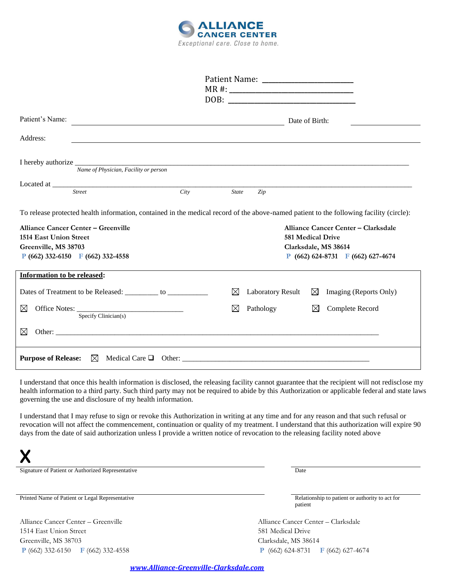

| Patient's Name:                                              | Date of Birth:                                                                                                                          |
|--------------------------------------------------------------|-----------------------------------------------------------------------------------------------------------------------------------------|
| Address:                                                     |                                                                                                                                         |
| Name of Physician, Facility or person                        |                                                                                                                                         |
|                                                              |                                                                                                                                         |
| Located at <u>City</u>                                       |                                                                                                                                         |
|                                                              | State<br>Zip                                                                                                                            |
|                                                              | To release protected health information, contained in the medical record of the above-named patient to the following facility (circle): |
| <b>Alliance Cancer Center - Greenville</b>                   | Alliance Cancer Center - Clarksdale                                                                                                     |
| <b>1514 East Union Street</b>                                | <b>581 Medical Drive</b>                                                                                                                |
| Greenville, MS 38703                                         | Clarksdale, MS 38614                                                                                                                    |
| P (662) 332-6150 F (662) 332-4558                            | $P(662) 624-8731 F(662) 627-4674$                                                                                                       |
| Information to be released:                                  |                                                                                                                                         |
| Dates of Treatment to be Released: ________ to _____________ | ⊠<br><b>Laboratory Result</b><br>$\boxtimes$ Imaging (Reports Only)                                                                     |
| ⊠<br>Specify Clinician(s)                                    | ⊠<br>Pathology<br>Complete Record<br>$\bowtie$                                                                                          |
| ⊠                                                            |                                                                                                                                         |
| <b>Purpose of Release:</b>                                   |                                                                                                                                         |

I understand that once this health information is disclosed, the releasing facility cannot guarantee that the recipient will not redisclose my health information to a third party. Such third party may not be required to abide by this Authorization or applicable federal and state laws governing the use and disclosure of my health information.

I understand that I may refuse to sign or revoke this Authorization in writing at any time and for any reason and that such refusal or revocation will not affect the commencement, continuation or quality of my treatment. I understand that this authorization will expire 90 days from the date of said authorization unless I provide a written notice of revocation to the releasing facility noted above

X Signature of Patient or Authorized Representative Date Date of Patient or Authorized Representative

Printed Name of Patient or Legal Representative Relationship to patient or authority to act for

Alliance Cancer Center – Greenville Alliance Cancer Center – Clarksdale 1514 East Union Street 581 Medical Drive Greenville, MS 38703 Clarksdale, MS 38614 **P** (662) 332-6150 **F** (662) 332-4558 **P** (662) 624-8731 **F** (662) 627-4674

patient

 *www.Alliance-Greenville-Clarksdale.com*